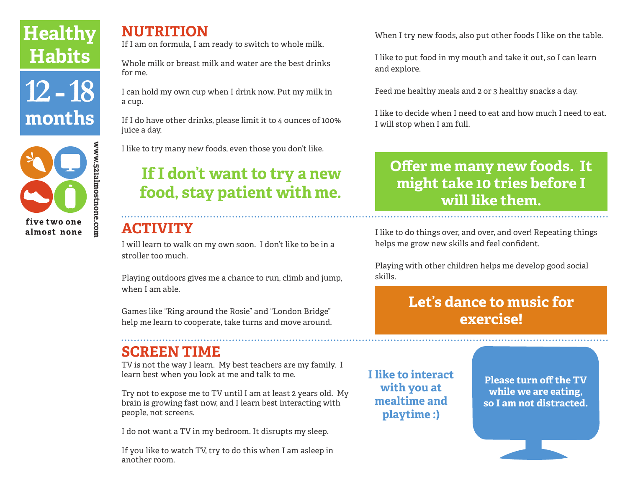# **Healthy Habits**





### **NUTRITION**

If I am on formula, I am ready to switch to whole milk.

Whole milk or breast milk and water are the best drinks for me.

I can hold my own cup when I drink now. Put my milk in a cup.

If I do have other drinks, please limit it to 4 ounces of 100% juice a day.

I like to try many new foods, even those you don't like.

# **If I don't want to try a new food, stay patient with me.**

## **ACTIVITY**

I will learn to walk on my own soon. I don't like to be in a stroller too much.

Playing outdoors gives me a chance to run, climb and jump, when I am able.

Games like "Ring around the Rosie" and "London Bridge" help me learn to cooperate, take turns and move around.

### **SCREEN TIME**

TV is not the way I learn. My best teachers are my family. I learn best when you look at me and talk to me.

Try not to expose me to TV until I am at least 2 years old. My brain is growing fast now, and I learn best interacting with people, not screens.

I do not want a TV in my bedroom. It disrupts my sleep.

If you like to watch TV, try to do this when I am asleep in another room.

When I try new foods, also put other foods I like on the table.

I like to put food in my mouth and take it out, so I can learn and explore.

Feed me healthy meals and 2 or 3 healthy snacks a day.

I like to decide when I need to eat and how much I need to eat. I will stop when I am full.

## **Offer me many new foods. It might take 10 tries before I will like them.**

I like to do things over, and over, and over! Repeating things helps me grow new skills and feel confident.

Playing with other children helps me develop good social skills.

## **Let's dance to music for exercise!**

**I like to interact with you at mealtime and playtime :)** 

**Please turn off the TV while we are eating, so I am not distracted.**